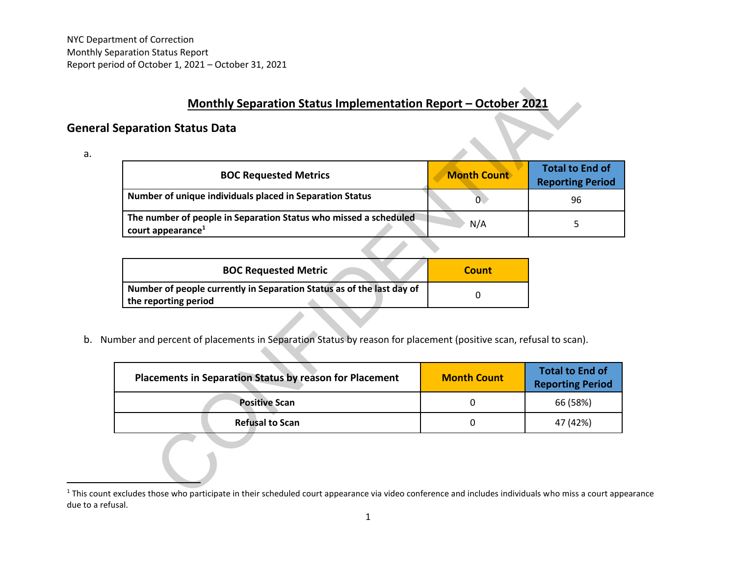# **Monthly Separation Status Implementation Report – October 2021**

### **General Separation Status Data**

a.

| eparation Status Data                                                                                        |                    |                                                   |
|--------------------------------------------------------------------------------------------------------------|--------------------|---------------------------------------------------|
| <b>BOC Requested Metrics</b>                                                                                 | <b>Month Count</b> | <b>Total to End of</b><br><b>Reporting Period</b> |
| Number of unique individuals placed in Separation Status                                                     | $\overline{0}$     | 96                                                |
| The number of people in Separation Status who missed a scheduled<br>court appearance <sup>1</sup>            | N/A                | 5                                                 |
|                                                                                                              |                    |                                                   |
| <b>BOC Requested Metric</b>                                                                                  | <b>Count</b>       |                                                   |
| Number of people currently in Separation Status as of the last day of<br>the reporting period                | $\Omega$           |                                                   |
| ber and percent of placements in Separation Status by reason for placement (positive scan, refusal to scan). | <b>Month Count</b> | <b>Total to End of</b>                            |
|                                                                                                              |                    | <b>Reporting Period</b>                           |
| Placements in Separation Status by reason for Placement                                                      |                    |                                                   |
| <b>Positive Scan</b>                                                                                         | 0                  | 66 (58%)                                          |

| <b>BOC Requested Metric</b>                                           | <b>Count</b> |
|-----------------------------------------------------------------------|--------------|
| Number of people currently in Separation Status as of the last day of |              |
| the reporting period                                                  |              |

b. Number and percent of placements in Separation Status by reason for placement (positive scan, refusal to scan).

| <b>Placements in Separation Status by reason for Placement</b> | <b>Month Count</b> | Total to End of<br><b>Reporting Period</b> |
|----------------------------------------------------------------|--------------------|--------------------------------------------|
| <b>Positive Scan</b>                                           |                    | 66 (58%)                                   |
| <b>Refusal to Scan</b>                                         |                    | 47 (42%)                                   |

<sup>&</sup>lt;sup>1</sup> This count excludes those who participate in their scheduled court appearance via video conference and includes individuals who miss a court appearance due to a refusal.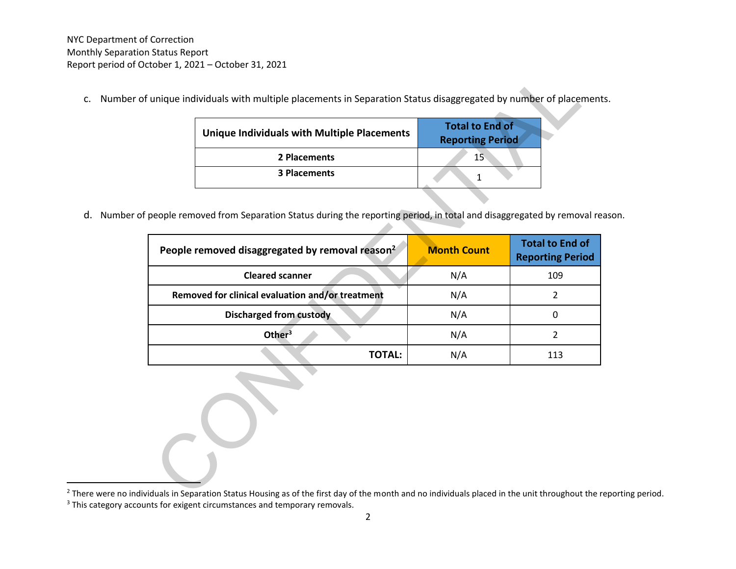c. Number of unique individuals with multiple placements in Separation Status disaggregated by number of placements.

| <b>Unique Individuals with Multiple Placements</b> | <b>Total to End of</b><br><b>Reporting Period</b> |
|----------------------------------------------------|---------------------------------------------------|
| 2 Placements                                       | 15                                                |
| <b>3 Placements</b>                                |                                                   |

d. Number of people removed from Separation Status during the reporting period, in total and disaggregated by removal reason.

| <b>Unique Individuals with Multiple Placements</b>                                                                                                                         | <b>Total to End of</b><br><b>Reporting Period</b> |                                                   |
|----------------------------------------------------------------------------------------------------------------------------------------------------------------------------|---------------------------------------------------|---------------------------------------------------|
| 2 Placements                                                                                                                                                               | 15                                                |                                                   |
| <b>3 Placements</b>                                                                                                                                                        | $\mathbf{1}$                                      |                                                   |
| people removed from Separation Status during the reporting period, in total and disaggregated by removal re<br>People removed disaggregated by removal reason <sup>2</sup> | <b>Month Count</b>                                | <b>Total to End of</b><br><b>Reporting Period</b> |
| <b>Cleared scanner</b>                                                                                                                                                     | N/A                                               | 109                                               |
| Removed for clinical evaluation and/or treatment                                                                                                                           | N/A                                               | $\overline{2}$                                    |
| <b>Discharged from custody</b>                                                                                                                                             | N/A                                               | $\mathbf 0$                                       |
| Other <sup>3</sup>                                                                                                                                                         | N/A                                               | $\overline{2}$                                    |
| <b>TOTAL:</b>                                                                                                                                                              | N/A                                               | 113                                               |
|                                                                                                                                                                            |                                                   |                                                   |

<sup>&</sup>lt;sup>2</sup> There were no individuals in Separation Status Housing as of the first day of the month and no individuals placed in the unit throughout the reporting period.

<sup>&</sup>lt;sup>3</sup> This category accounts for exigent circumstances and temporary removals.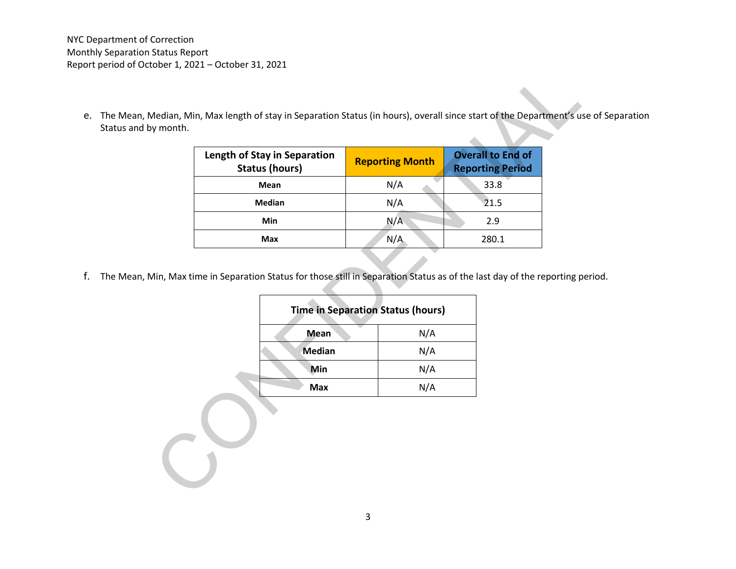NYC Department of Correction Monthly Separation Status Report Report period of October 1, 2021 – October 31, 2021

e. The Mean, Median, Min, Max length of stay in Separation Status (in hours), overall since start of the Department's use of Separation Status and by month.

|               | <b>Reporting Month</b>                   | <b>Overall to End of</b><br><b>Reporting Period</b> |
|---------------|------------------------------------------|-----------------------------------------------------|
| Mean          | N/A                                      | 33.8                                                |
| <b>Median</b> | N/A                                      | 21.5                                                |
| Min           | N/A                                      | 2.9                                                 |
| Max           | N/A                                      | 280.1                                               |
|               | <b>Time in Separation Status (hours)</b> |                                                     |
| <b>Mean</b>   | N/A                                      |                                                     |
| <b>Median</b> | N/A                                      |                                                     |
| Min           | N/A                                      |                                                     |

f. The Mean, Min, Max time in Separation Status for those still in Separation Status as of the last day of the reporting period.

| <b>Time in Separation Status (hours)</b> |
|------------------------------------------|
| N/A                                      |
| N/A                                      |
| N/A                                      |
| N/A                                      |
|                                          |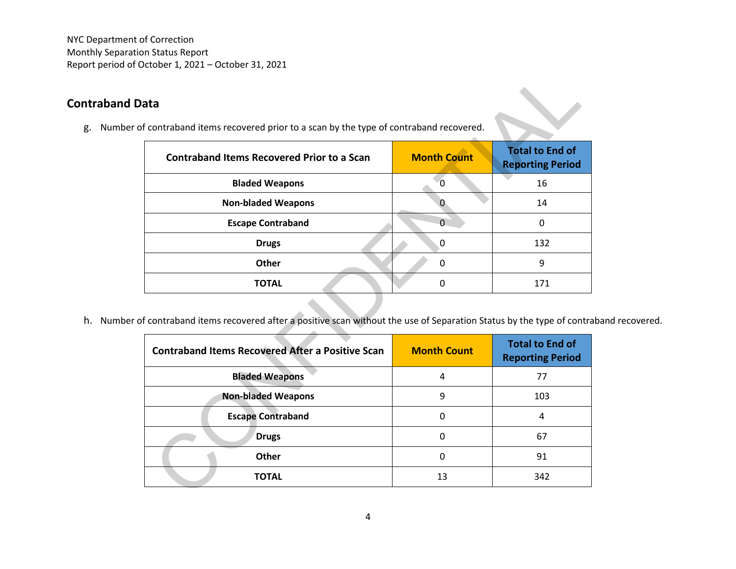NYC Department of Correction Monthly Separation Status Report Report period of October 1, 2021 – October 31, 2021

## **Contraband Data**

g. Number of contraband items recovered prior to a scan by the type of contraband recovered.

| ata<br>f contraband items recovered prior to a scan by the type of contraband recovered.                                                                                 |                    |                                                   |
|--------------------------------------------------------------------------------------------------------------------------------------------------------------------------|--------------------|---------------------------------------------------|
| <b>Contraband Items Recovered Prior to a Scan</b>                                                                                                                        | <b>Month Count</b> | <b>Total to End of</b><br><b>Reporting Period</b> |
| <b>Bladed Weapons</b>                                                                                                                                                    | $\mathbf 0$        | 16                                                |
| <b>Non-bladed Weapons</b>                                                                                                                                                | $\mathbf{0}$       | 14                                                |
| <b>Escape Contraband</b>                                                                                                                                                 | $\Omega$           | 0                                                 |
| <b>Drugs</b>                                                                                                                                                             | $\mathbf 0$        | 132                                               |
| <b>Other</b>                                                                                                                                                             | 0                  | 9                                                 |
| <b>TOTAL</b>                                                                                                                                                             | 0                  | 171                                               |
|                                                                                                                                                                          |                    |                                                   |
| f contraband items recovered after a positive scan without the use of Separation Status by the type of contra<br><b>Contraband Items Recovered After a Positive Scan</b> | <b>Month Count</b> | <b>Total to End of</b><br><b>Reporting Period</b> |
| <b>Bladed Weapons</b>                                                                                                                                                    | 4                  | 77                                                |
| <b>Non-bladed Weapons</b>                                                                                                                                                | 9                  | 103                                               |
| <b>Escape Contraband</b>                                                                                                                                                 | 0                  | 4                                                 |
| <b>Drugs</b>                                                                                                                                                             | $\mathbf 0$        | 67                                                |
| <b>Other</b>                                                                                                                                                             | 0                  | 91                                                |

h. Number of contraband items recovered after a positive scan without the use of Separation Status by the type of contraband recovered.

| <b>Contraband Items Recovered After a Positive Scan</b> | <b>Month Count</b> | <b>Total to End of</b><br><b>Reporting Period</b> |
|---------------------------------------------------------|--------------------|---------------------------------------------------|
| <b>Bladed Weapons</b>                                   | 4                  | 77                                                |
| <b>Non-bladed Weapons</b>                               | 9                  | 103                                               |
| <b>Escape Contraband</b>                                |                    | 4                                                 |
| <b>Drugs</b>                                            |                    | 67                                                |
| Other                                                   | 0                  | 91                                                |
| <b>TOTAL</b>                                            | 13                 | 342                                               |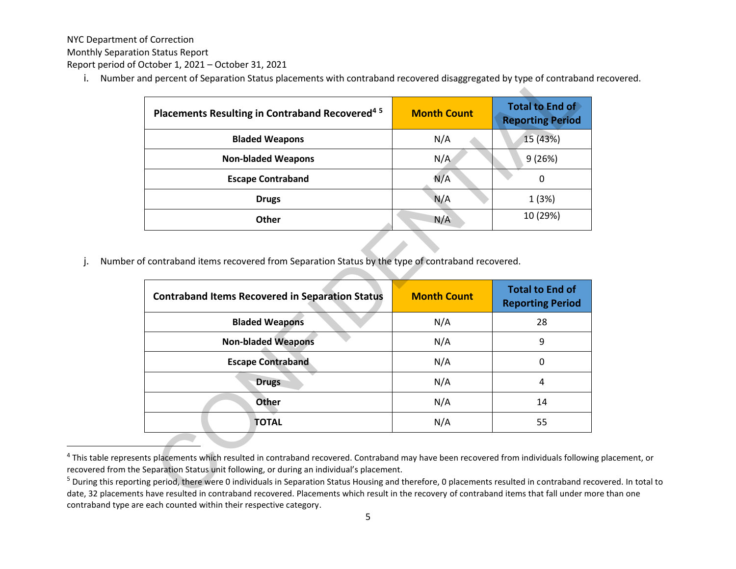NYC Department of Correction

Monthly Separation Status Report

Report period of October 1, 2021 – October 31, 2021

i. Number and percent of Separation Status placements with contraband recovered disaggregated by type of contraband recovered.

| Placements Resulting in Contraband Recovered <sup>45</sup> | <b>Month Count</b> | <b>Total to End of</b><br><b>Reporting Period</b> |
|------------------------------------------------------------|--------------------|---------------------------------------------------|
| <b>Bladed Weapons</b>                                      | N/A                | 15 (43%)                                          |
| <b>Non-bladed Weapons</b>                                  | N/A                | 9(26%)                                            |
| <b>Escape Contraband</b>                                   | N/A                | 0                                                 |
| <b>Drugs</b>                                               | N/A                | 1(3%)                                             |
| <b>Other</b>                                               | N/A                | 10 (29%)                                          |

j. Number of contraband items recovered from Separation Status by the type of contraband recovered.

| Placements Resulting in Contraband Recovered <sup>45</sup>                                                                                         | <b>Month Count</b> | Total to End of<br><b>Reporting Period</b>        |
|----------------------------------------------------------------------------------------------------------------------------------------------------|--------------------|---------------------------------------------------|
| <b>Bladed Weapons</b>                                                                                                                              | N/A                | 15 (43%)                                          |
| <b>Non-bladed Weapons</b>                                                                                                                          | N/A                | 9(26%)                                            |
| <b>Escape Contraband</b>                                                                                                                           | N/A                | $\mathbf 0$                                       |
| <b>Drugs</b>                                                                                                                                       | N/A                | 1(3%)                                             |
| <b>Other</b>                                                                                                                                       | N/A                | 10 (29%)                                          |
| f contraband items recovered from Separation Status by the type of contraband recovered.<br><b>Contraband Items Recovered in Separation Status</b> | <b>Month Count</b> | <b>Total to End of</b><br><b>Reporting Period</b> |
| <b>Bladed Weapons</b>                                                                                                                              | N/A                | 28                                                |
| <b>Non-bladed Weapons</b>                                                                                                                          | N/A                | 9                                                 |
| <b>Escape Contraband</b>                                                                                                                           | N/A                | 0                                                 |
| <b>Drugs</b>                                                                                                                                       | N/A                | 4                                                 |
| <b>Other</b>                                                                                                                                       | N/A                | 14                                                |

<sup>&</sup>lt;sup>4</sup> This table represents placements which resulted in contraband recovered. Contraband may have been recovered from individuals following placement, or recovered from the Separation Status unit following, or during an individual's placement.

<sup>&</sup>lt;sup>5</sup> During this reporting period, there were 0 individuals in Separation Status Housing and therefore, 0 placements resulted in contraband recovered. In total to date, 32 placements have resulted in contraband recovered. Placements which result in the recovery of contraband items that fall under more than one contraband type are each counted within their respective category .